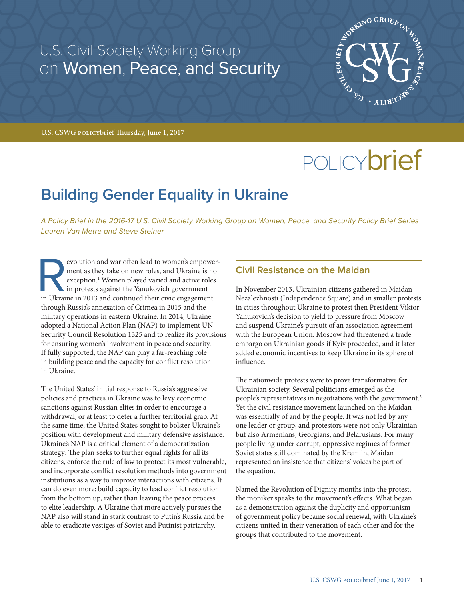# U.S. Civil Society Working Group on Women, Peace, and Security



U.S. CSWG policybrief Thursday, June 1, 2017

# POLICY**brief**

# **Building Gender Equality in Ukraine**

*A Policy Brief in the 2016-17 U.S. Civil Society Working Group on Women, Peace, and Security Policy Brief Series Lauren Van Metre and Steve Steiner* 

evolution and war often lead to women's empower-<br>ment as they take on new roles, and Ukraine is no<br>exception.<sup>1</sup> Women played varied and active roles<br>in protests against the Yanukovich government<br>in Ukraine in 2013 and con ment as they take on new roles, and Ukraine is no exception.<sup>1</sup> Women played varied and active roles in protests against the Yanukovich government in Ukraine in 2013 and continued their civic engagement through Russia's annexation of Crimea in 2015 and the military operations in eastern Ukraine. In 2014, Ukraine adopted a National Action Plan (NAP) to implement UN Security Council Resolution 1325 and to realize its provisions for ensuring women's involvement in peace and security. If fully supported, the NAP can play a far-reaching role in building peace and the capacity for conflict resolution in Ukraine.

The United States' initial response to Russia's aggressive policies and practices in Ukraine was to levy economic sanctions against Russian elites in order to encourage a withdrawal, or at least to deter a further territorial grab. At the same time, the United States sought to bolster Ukraine's position with development and military defensive assistance. Ukraine's NAP is a critical element of a democratization strategy: The plan seeks to further equal rights for all its citizens, enforce the rule of law to protect its most vulnerable, and incorporate conflict resolution methods into government institutions as a way to improve interactions with citizens. It can do even more: build capacity to lead conflict resolution from the bottom up, rather than leaving the peace process to elite leadership. A Ukraine that more actively pursues the NAP also will stand in stark contrast to Putin's Russia and be able to eradicate vestiges of Soviet and Putinist patriarchy.

# **Civil Resistance on the Maidan**

In November 2013, Ukrainian citizens gathered in Maidan Nezalezhnosti (Independence Square) and in smaller protests in cities throughout Ukraine to protest then President Viktor Yanukovich's decision to yield to pressure from Moscow and suspend Ukraine's pursuit of an association agreement with the European Union. Moscow had threatened a trade embargo on Ukrainian goods if Kyiv proceeded, and it later added economic incentives to keep Ukraine in its sphere of influence.

The nationwide protests were to prove transformative for Ukrainian society. Several politicians emerged as the people's representatives in negotiations with the government.2 Yet the civil resistance movement launched on the Maidan was essentially of and by the people. It was not led by any one leader or group, and protestors were not only Ukrainian but also Armenians, Georgians, and Belarusians. For many people living under corrupt, oppressive regimes of former Soviet states still dominated by the Kremlin, Maidan represented an insistence that citizens' voices be part of the equation.

Named the Revolution of Dignity months into the protest, the moniker speaks to the movement's effects. What began as a demonstration against the duplicity and opportunism of government policy became social renewal, with Ukraine's citizens united in their veneration of each other and for the groups that contributed to the movement.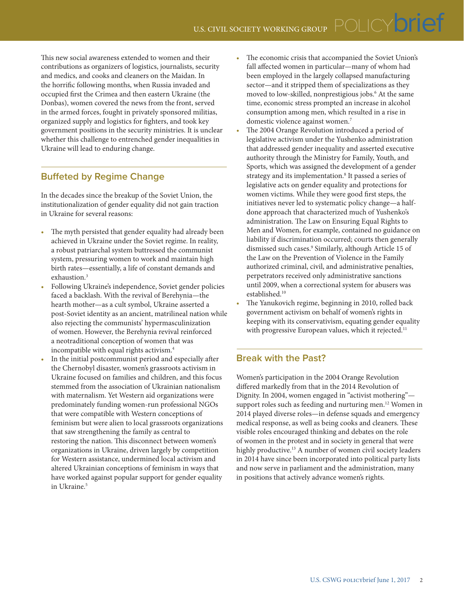This new social awareness extended to women and their contributions as organizers of logistics, journalists, security and medics, and cooks and cleaners on the Maidan. In the horrific following months, when Russia invaded and occupied first the Crimea and then eastern Ukraine (the Donbas), women covered the news from the front, served in the armed forces, fought in privately sponsored militias, organized supply and logistics for fighters, and took key government positions in the security ministries. It is unclear whether this challenge to entrenched gender inequalities in Ukraine will lead to enduring change.

## **Buffeted by Regime Change**

In the decades since the breakup of the Soviet Union, the institutionalization of gender equality did not gain traction in Ukraine for several reasons:

- The myth persisted that gender equality had already been achieved in Ukraine under the Soviet regime. In reality, a robust patriarchal system buttressed the communist system, pressuring women to work and maintain high birth rates—essentially, a life of constant demands and exhaustion.<sup>3</sup>
- Following Ukraine's independence, Soviet gender policies faced a backlash. With the revival of Berehynia—the hearth mother—as a cult symbol, Ukraine asserted a post-Soviet identity as an ancient, matrilineal nation while also rejecting the communists' hypermasculinization of women. However, the Berehynia revival reinforced a neotraditional conception of women that was incompatible with equal rights activism.4
- In the initial postcommunist period and especially after the Chernobyl disaster, women's grassroots activism in Ukraine focused on families and children, and this focus stemmed from the association of Ukrainian nationalism with maternalism. Yet Western aid organizations were predominately funding women-run professional NGOs that were compatible with Western conceptions of feminism but were alien to local grassroots organizations that saw strengthening the family as central to restoring the nation. This disconnect between women's organizations in Ukraine, driven largely by competition for Western assistance, undermined local activism and altered Ukrainian conceptions of feminism in ways that have worked against popular support for gender equality in Ukraine.<sup>5</sup>
- The economic crisis that accompanied the Soviet Union's fall affected women in particular—many of whom had been employed in the largely collapsed manufacturing sector—and it stripped them of specializations as they moved to low-skilled, nonprestigious jobs.6 At the same time, economic stress prompted an increase in alcohol consumption among men, which resulted in a rise in domestic violence against women.<sup>7</sup>
- The 2004 Orange Revolution introduced a period of legislative activism under the Yushenko administration that addressed gender inequality and asserted executive authority through the Ministry for Family, Youth, and Sports, which was assigned the development of a gender strategy and its implementation.8 It passed a series of legislative acts on gender equality and protections for women victims. While they were good first steps, the initiatives never led to systematic policy change—a halfdone approach that characterized much of Yushenko's administration. The Law on Ensuring Equal Rights to Men and Women, for example, contained no guidance on liability if discrimination occurred; courts then generally dismissed such cases.9 Similarly, although Article 15 of the Law on the Prevention of Violence in the Family authorized criminal, civil, and administrative penalties, perpetrators received only administrative sanctions until 2009, when a correctional system for abusers was established.10
- The Yanukovich regime, beginning in 2010, rolled back government activism on behalf of women's rights in keeping with its conservativism, equating gender equality with progressive European values, which it rejected.<sup>11</sup>

# **Break with the Past?**

Women's participation in the 2004 Orange Revolution differed markedly from that in the 2014 Revolution of Dignity. In 2004, women engaged in "activist mothering" support roles such as feeding and nurturing men.<sup>12</sup> Women in 2014 played diverse roles—in defense squads and emergency medical response, as well as being cooks and cleaners. These visible roles encouraged thinking and debates on the role of women in the protest and in society in general that were highly productive.<sup>13</sup> A number of women civil society leaders in 2014 have since been incorporated into political party lists and now serve in parliament and the administration, many in positions that actively advance women's rights.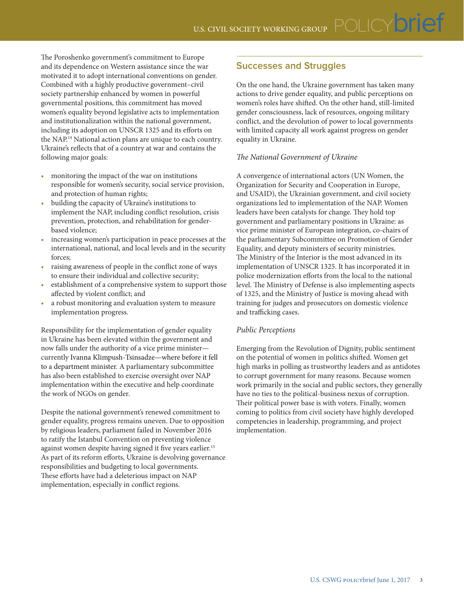The Poroshenko government's commitment to Europe and its dependence on Western assistance since the war motivated it to adopt international conventions on gender. Combined with a highly productive government–civil society partnership enhanced by women in powerful governmental positions, this commitment has moved women's equality beyond legislative acts to implementation and institutionalization within the national government, including its adoption on UNSCR 1325 and its efforts on the NAP.14 National action plans are unique to each country. Ukraine's reflects that of a country at war and contains the following major goals:

- monitoring the impact of the war on institutions responsible for women's security, social service provision, and protection of human rights;
- building the capacity of Ukraine's institutions to implement the NAP, including conflict resolution, crisis prevention, protection, and rehabilitation for genderbased violence;
- increasing women's participation in peace processes at the international, national, and local levels and in the security forces;
- raising awareness of people in the conflict zone of ways to ensure their individual and collective security;
- establishment of a comprehensive system to support those affected by violent conflict; and
- a robust monitoring and evaluation system to measure implementation progress.

Responsibility for the implementation of gender equality in Ukraine has been elevated within the government and now falls under the authority of a vice prime minister currently Ivanna Klimpush-Tsinsadze—where before it fell to a department minister. A parliamentary subcommittee has also been established to exercise oversight over NAP implementation within the executive and help coordinate the work of NGOs on gender.

Despite the national government's renewed commitment to gender equality, progress remains uneven. Due to opposition by religious leaders, parliament failed in November 2016 to ratify the Istanbul Convention on preventing violence against women despite having signed it five years earlier.<sup>15</sup> As part of its reform efforts, Ukraine is devolving governance responsibilities and budgeting to local governments. These efforts have had a deleterious impact on NAP implementation, especially in conflict regions.

# **Successes and Struggles**

On the one hand, the Ukraine government has taken many actions to drive gender equality, and public perceptions on women's roles have shifted. On the other hand, still-limited gender consciousness, lack of resources, ongoing military conflict, and the devolution of power to local governments with limited capacity all work against progress on gender equality in Ukraine.

#### *The National Government of Ukraine*

A convergence of international actors (UN Women, the Organization for Security and Cooperation in Europe, and USAID), the Ukrainian government, and civil society organizations led to implementation of the NAP. Women leaders have been catalysts for change. They hold top government and parliamentary positions in Ukraine: as vice prime minister of European integration, co-chairs of the parliamentary Subcommittee on Promotion of Gender Equality, and deputy ministers of security ministries. The Ministry of the Interior is the most advanced in its implementation of UNSCR 1325. It has incorporated it in police modernization efforts from the local to the national level. The Ministry of Defense is also implementing aspects of 1325, and the Ministry of Justice is moving ahead with training for judges and prosecutors on domestic violence and trafficking cases.

#### *Public Perceptions*

Emerging from the Revolution of Dignity, public sentiment on the potential of women in politics shifted. Women get high marks in polling as trustworthy leaders and as antidotes to corrupt government for many reasons. Because women work primarily in the social and public sectors, they generally have no ties to the political-business nexus of corruption. Their political power base is with voters. Finally, women coming to politics from civil society have highly developed competencies in leadership, programming, and project implementation.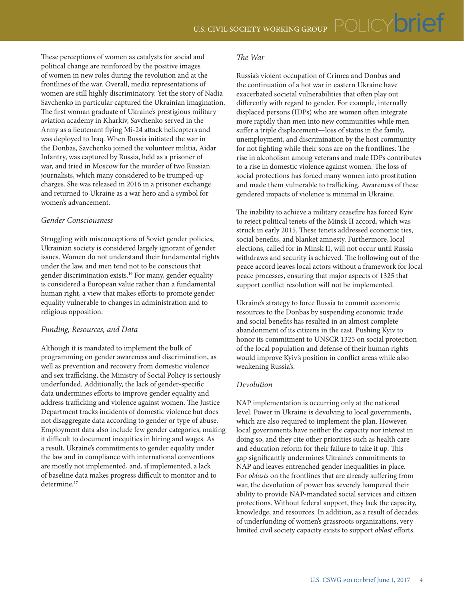These perceptions of women as catalysts for social and political change are reinforced by the positive images of women in new roles during the revolution and at the frontlines of the war. Overall, media representations of women are still highly discriminatory. Yet the story of Nadia Savchenko in particular captured the Ukrainian imagination. The first woman graduate of Ukraine's prestigious military aviation academy in Kharkiv, Savchenko served in the Army as a lieutenant flying Mi-24 attack helicopters and was deployed to Iraq. When Russia initiated the war in the Donbas, Savchenko joined the volunteer militia, Aidar Infantry, was captured by Russia, held as a prisoner of war, and tried in Moscow for the murder of two Russian journalists, which many considered to be trumped-up charges. She was released in 2016 in a prisoner exchange and returned to Ukraine as a war hero and a symbol for women's advancement.

#### *Gender Consciousness*

Struggling with misconceptions of Soviet gender policies, Ukrainian society is considered largely ignorant of gender issues. Women do not understand their fundamental rights under the law, and men tend not to be conscious that gender discrimination exists.16 For many, gender equality is considered a European value rather than a fundamental human right, a view that makes efforts to promote gender equality vulnerable to changes in administration and to religious opposition.

#### *Funding, Resources, and Data*

Although it is mandated to implement the bulk of programming on gender awareness and discrimination, as well as prevention and recovery from domestic violence and sex trafficking, the Ministry of Social Policy is seriously underfunded. Additionally, the lack of gender-specific data undermines efforts to improve gender equality and address trafficking and violence against women. The Justice Department tracks incidents of domestic violence but does not disaggregate data according to gender or type of abuse. Employment data also include few gender categories, making it difficult to document inequities in hiring and wages. As a result, Ukraine's commitments to gender equality under the law and in compliance with international conventions are mostly not implemented, and, if implemented, a lack of baseline data makes progress difficult to monitor and to determine.<sup>17</sup>

#### *The War*

Russia's violent occupation of Crimea and Donbas and the continuation of a hot war in eastern Ukraine have exacerbated societal vulnerabilities that often play out differently with regard to gender. For example, internally displaced persons (IDPs) who are women often integrate more rapidly than men into new communities while men suffer a triple displacement—loss of status in the family, unemployment, and discrimination by the host community for not fighting while their sons are on the frontlines. The rise in alcoholism among veterans and male IDPs contributes to a rise in domestic violence against women. The loss of social protections has forced many women into prostitution and made them vulnerable to trafficking. Awareness of these gendered impacts of violence is minimal in Ukraine.

The inability to achieve a military ceasefire has forced Kyiv to reject political tenets of the Minsk II accord, which was struck in early 2015. These tenets addressed economic ties, social benefits, and blanket amnesty. Furthermore, local elections, called for in Minsk II, will not occur until Russia withdraws and security is achieved. The hollowing out of the peace accord leaves local actors without a framework for local peace processes, ensuring that major aspects of 1325 that support conflict resolution will not be implemented.

Ukraine's strategy to force Russia to commit economic resources to the Donbas by suspending economic trade and social benefits has resulted in an almost complete abandonment of its citizens in the east. Pushing Kyiv to honor its commitment to UNSCR 1325 on social protection of the local population and defense of their human rights would improve Kyiv's position in conflict areas while also weakening Russia's.

#### *Devolution*

NAP implementation is occurring only at the national level. Power in Ukraine is devolving to local governments, which are also required to implement the plan. However, local governments have neither the capacity nor interest in doing so, and they cite other priorities such as health care and education reform for their failure to take it up. This gap significantly undermines Ukraine's commitments to NAP and leaves entrenched gender inequalities in place. For *oblasts* on the frontlines that are already suffering from war, the devolution of power has severely hampered their ability to provide NAP-mandated social services and citizen protections. Without federal support, they lack the capacity, knowledge, and resources. In addition, as a result of decades of underfunding of women's grassroots organizations, very limited civil society capacity exists to support *oblast* efforts.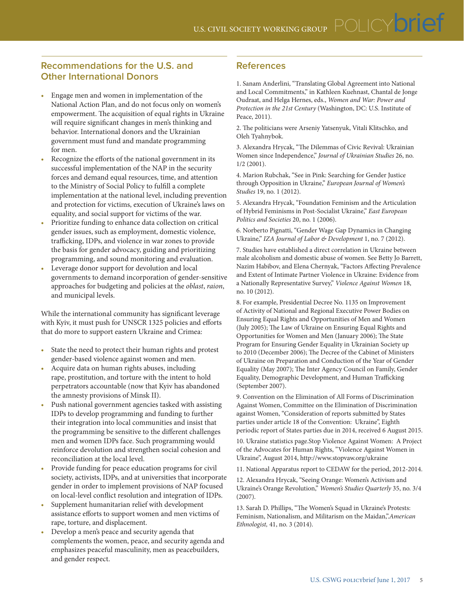- Engage men and women in implementation of the National Action Plan, and do not focus only on women's empowerment. The acquisition of equal rights in Ukraine will require significant changes in men's thinking and behavior. International donors and the Ukrainian government must fund and mandate programming for men.
- Recognize the efforts of the national government in its successful implementation of the NAP in the security forces and demand equal resources, time, and attention to the Ministry of Social Policy to fulfill a complete implementation at the national level, including prevention and protection for victims, execution of Ukraine's laws on equality, and social support for victims of the war.
- Prioritize funding to enhance data collection on critical gender issues, such as employment, domestic violence, trafficking, IDPs, and violence in war zones to provide the basis for gender advocacy, guiding and prioritizing programming, and sound monitoring and evaluation.
- Leverage donor support for devolution and local governments to demand incorporation of gender-sensitive approaches for budgeting and policies at the *oblast*, *raion*, and municipal levels.

While the international community has significant leverage with Kyiv, it must push for UNSCR 1325 policies and efforts that do more to support eastern Ukraine and Crimea:

- State the need to protect their human rights and protest gender-based violence against women and men.
- Acquire data on human rights abuses, including rape, prostitution, and torture with the intent to hold perpetrators accountable (now that Kyiv has abandoned the amnesty provisions of Minsk II).
- Push national government agencies tasked with assisting IDPs to develop programming and funding to further their integration into local communities and insist that the programming be sensitive to the different challenges men and women IDPs face. Such programming would reinforce devolution and strengthen social cohesion and reconciliation at the local level.
- Provide funding for peace education programs for civil society, activists, IDPs, and at universities that incorporate gender in order to implement provisions of NAP focused on local-level conflict resolution and integration of IDPs.
- Supplement humanitarian relief with development assistance efforts to support women and men victims of rape, torture, and displacement.
- Develop a men's peace and security agenda that complements the women, peace, and security agenda and emphasizes peaceful masculinity, men as peacebuilders, and gender respect.

### **References**

1. Sanam Anderlini, "Translating Global Agreement into National and Local Commitments," in Kathleen Kuehnast, Chantal de Jonge Oudraat, and Helga Hernes, eds., *Women and War: Power and Protection in the 21st Century* (Washington, DC: U.S. Institute of Peace, 2011).

2. The politicians were Arseniy Yatsenyuk, Vitali Klitschko, and Oleh Tyahnybok.

3. Alexandra Hrycak, "The Dilemmas of Civic Revival: Ukrainian Women since Independence," *Journal of Ukrainian Studies* 26, no. 1/2 (2001).

4. Marion Rubchak, "See in Pink: Searching for Gender Justice through Opposition in Ukraine," *European Journal of Women's Studies* 19, no. 1 (2012).

5. Alexandra Hrycak, "Foundation Feminism and the Articulation of Hybrid Feminisms in Post-Socialist Ukraine," *East European Politics and Societies* 20, no. 1 (2006).

6. Norberto Pignatti, "Gender Wage Gap Dynamics in Changing Ukraine," *IZA Journal of Labor & Development* 1, no. 7 (2012).

7. Studies have established a direct correlation in Ukraine between male alcoholism and domestic abuse of women. See Betty Jo Barrett, Nazim Habibov, and Elena Chernyak, "Factors Affecting Prevalence and Extent of Intimate Partner Violence in Ukraine: Evidence from a Nationally Representative Survey," *Violence Against Women* 18, no. 10 (2012).

8. For example, Presidential Decree No. 1135 on Improvement of Activity of National and Regional Executive Power Bodies on Ensuring Equal Rights and Opportunities of Men and Women (July 2005); The Law of Ukraine on Ensuring Equal Rights and Opportunities for Women and Men (January 2006); The State Program for Ensuring Gender Equality in Ukrainian Society up to 2010 (December 2006); The Decree of the Cabinet of Ministers of Ukraine on Preparation and Conduction of the Year of Gender Equality (May 2007); The Inter Agency Council on Family, Gender Equality, Demographic Development, and Human Trafficking (September 2007).

9. Convention on the Elimination of All Forms of Discrimination Against Women, Committee on the Elimination of Discrimination against Women, "Consideration of reports submitted by States parties under article 18 of the Convention: Ukraine", Eighth periodic report of States parties due in 2014, received 6 August 2015.

10. Ukraine statistics page.Stop Violence Against Women: A Project of the Advocates for Human Rights, "Violence Against Women in Ukraine", August 2014, http://www.stopvaw.org/ukraine

11. National Apparatus report to CEDAW for the period, 2012-2014.

12. Alexandra Hrycak, "Seeing Orange: Women's Activism and Ukraine's Orange Revolution," *Women's Studies Quarterly* 35, no. 3/4 (2007).

13. Sarah D. Phillips, "The Women's Squad in Ukraine's Protests: Feminism, Nationalism, and Militarism on the Maidan,".*American Ethnologist,* 41, no. 3 (2014).